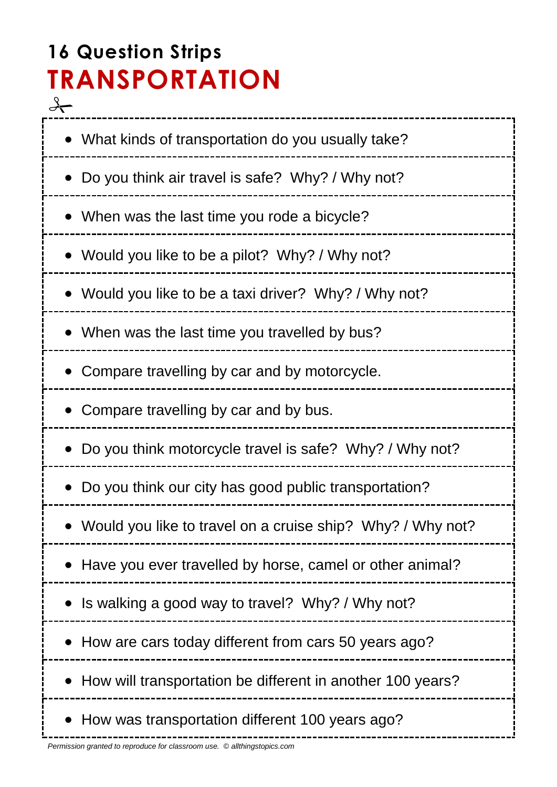# **16 Question Strips TRANSPORTATION**  $\frac{q}{\sqrt{q}}$

\_\_\_\_\_\_\_\_\_\_\_\_\_\_\_\_\_ What kinds of transportation do you usually take? Do you think air travel is safe? Why? / Why not? When was the last time you rode a bicycle? Would you like to be a pilot? Why? / Why not? Would you like to be a taxi driver? Why? / Why not? When was the last time you travelled by bus? • Compare travelling by car and by motorcycle. • Compare travelling by car and by bus. Do you think motorcycle travel is safe? Why? / Why not? Do you think our city has good public transportation? Would you like to travel on a cruise ship? Why? / Why not? Have you ever travelled by horse, camel or other animal? • Is walking a good way to travel? Why? / Why not? • How are cars today different from cars 50 years ago? • How will transportation be different in another 100 years? • How was transportation different 100 years ago?